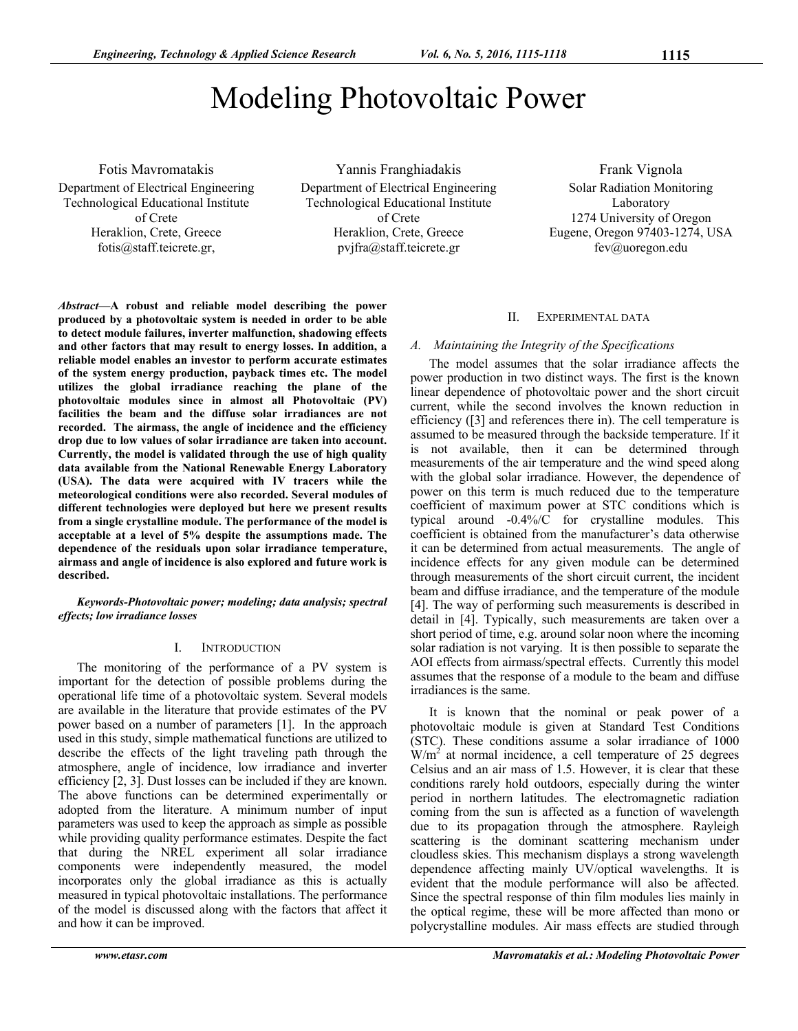# Modeling Photovoltaic Power

Fotis Mavromatakis Department of Electrical Engineering Technological Educational Institute of Crete Heraklion, Crete, Greece fotis@staff.teicrete.gr,

Yannis Franghiadakis Department of Electrical Engineering Technological Educational Institute of Crete Heraklion, Crete, Greece pvjfra@staff.teicrete.gr

Frank Vignola Solar Radiation Monitoring Laboratory 1274 University of Oregon Eugene, Oregon 97403-1274, USA fev@uoregon.edu

*Abstract***—A robust and reliable model describing the power produced by a photovoltaic system is needed in order to be able to detect module failures, inverter malfunction, shadowing effects and other factors that may result to energy losses. In addition, a reliable model enables an investor to perform accurate estimates of the system energy production, payback times etc. The model utilizes the global irradiance reaching the plane of the photovoltaic modules since in almost all Photovoltaic (PV) facilities the beam and the diffuse solar irradiances are not recorded. The airmass, the angle of incidence and the efficiency drop due to low values of solar irradiance are taken into account. Currently, the model is validated through the use of high quality data available from the National Renewable Energy Laboratory (USA). The data were acquired with IV tracers while the meteorological conditions were also recorded. Several modules of different technologies were deployed but here we present results from a single crystalline module. The performance of the model is acceptable at a level of 5% despite the assumptions made. The dependence of the residuals upon solar irradiance temperature, airmass and angle of incidence is also explored and future work is described.** 

*Keywords-Photovoltaic power; modeling; data analysis; spectral effects; low irradiance losses* 

## I. INTRODUCTION

The monitoring of the performance of a PV system is important for the detection of possible problems during the operational life time of a photovoltaic system. Several models are available in the literature that provide estimates of the PV power based on a number of parameters [1]. In the approach used in this study, simple mathematical functions are utilized to describe the effects of the light traveling path through the atmosphere, angle of incidence, low irradiance and inverter efficiency [2, 3]. Dust losses can be included if they are known. The above functions can be determined experimentally or adopted from the literature. A minimum number of input parameters was used to keep the approach as simple as possible while providing quality performance estimates. Despite the fact that during the NREL experiment all solar irradiance components were independently measured, the model incorporates only the global irradiance as this is actually measured in typical photovoltaic installations. The performance of the model is discussed along with the factors that affect it and how it can be improved.

## II. EXPERIMENTAL DATA

## *A. Maintaining the Integrity of the Specifications*

The model assumes that the solar irradiance affects the power production in two distinct ways. The first is the known linear dependence of photovoltaic power and the short circuit current, while the second involves the known reduction in efficiency ([3] and references there in). The cell temperature is assumed to be measured through the backside temperature. If it is not available, then it can be determined through measurements of the air temperature and the wind speed along with the global solar irradiance. However, the dependence of power on this term is much reduced due to the temperature coefficient of maximum power at STC conditions which is typical around  $-0.4\%$  C for crystalline modules. This coefficient is obtained from the manufacturer's data otherwise it can be determined from actual measurements. The angle of incidence effects for any given module can be determined through measurements of the short circuit current, the incident beam and diffuse irradiance, and the temperature of the module [4]. The way of performing such measurements is described in detail in [4]. Typically, such measurements are taken over a short period of time, e.g. around solar noon where the incoming solar radiation is not varying. It is then possible to separate the AOI effects from airmass/spectral effects. Currently this model assumes that the response of a module to the beam and diffuse irradiances is the same.

It is known that the nominal or peak power of a photovoltaic module is given at Standard Test Conditions (STC). These conditions assume a solar irradiance of 1000  $\text{W/m}^2$  at normal incidence, a cell temperature of 25 degrees Celsius and an air mass of 1.5. However, it is clear that these conditions rarely hold outdoors, especially during the winter period in northern latitudes. The electromagnetic radiation coming from the sun is affected as a function of wavelength due to its propagation through the atmosphere. Rayleigh scattering is the dominant scattering mechanism under cloudless skies. This mechanism displays a strong wavelength dependence affecting mainly UV/optical wavelengths. It is evident that the module performance will also be affected. Since the spectral response of thin film modules lies mainly in the optical regime, these will be more affected than mono or polycrystalline modules. Air mass effects are studied through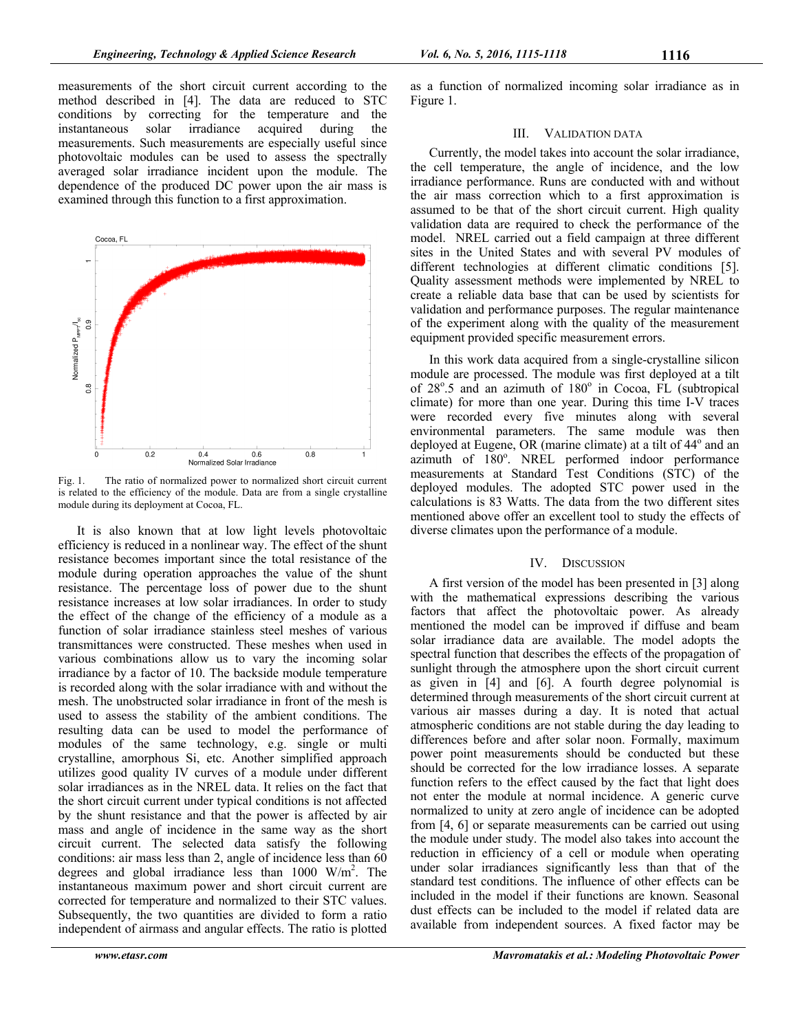measurements of the short circuit current according to the method described in [4]. The data are reduced to STC conditions by correcting for the temperature and the instantaneous solar irradiance acquired during the irradiance acquired during the measurements. Such measurements are especially useful since photovoltaic modules can be used to assess the spectrally averaged solar irradiance incident upon the module. The dependence of the produced DC power upon the air mass is examined through this function to a first approximation.



Fig. 1. The ratio of normalized power to normalized short circuit current is related to the efficiency of the module. Data are from a single crystalline module during its deployment at Cocoa, FL.

It is also known that at low light levels photovoltaic efficiency is reduced in a nonlinear way. The effect of the shunt resistance becomes important since the total resistance of the module during operation approaches the value of the shunt resistance. The percentage loss of power due to the shunt resistance increases at low solar irradiances. In order to study the effect of the change of the efficiency of a module as a function of solar irradiance stainless steel meshes of various transmittances were constructed. These meshes when used in various combinations allow us to vary the incoming solar irradiance by a factor of 10. The backside module temperature is recorded along with the solar irradiance with and without the mesh. The unobstructed solar irradiance in front of the mesh is used to assess the stability of the ambient conditions. The resulting data can be used to model the performance of modules of the same technology, e.g. single or multi crystalline, amorphous Si, etc. Another simplified approach utilizes good quality IV curves of a module under different solar irradiances as in the NREL data. It relies on the fact that the short circuit current under typical conditions is not affected by the shunt resistance and that the power is affected by air mass and angle of incidence in the same way as the short circuit current. The selected data satisfy the following conditions: air mass less than 2, angle of incidence less than 60 degrees and global irradiance less than  $1000 \, \text{W/m}^2$ . The instantaneous maximum power and short circuit current are corrected for temperature and normalized to their STC values. Subsequently, the two quantities are divided to form a ratio independent of airmass and angular effects. The ratio is plotted

as a function of normalized incoming solar irradiance as in Figure 1.

### III. VALIDATION DATA

Currently, the model takes into account the solar irradiance, the cell temperature, the angle of incidence, and the low irradiance performance. Runs are conducted with and without the air mass correction which to a first approximation is assumed to be that of the short circuit current. High quality validation data are required to check the performance of the model. NREL carried out a field campaign at three different sites in the United States and with several PV modules of different technologies at different climatic conditions [5]. Quality assessment methods were implemented by NREL to create a reliable data base that can be used by scientists for validation and performance purposes. The regular maintenance of the experiment along with the quality of the measurement equipment provided specific measurement errors.

In this work data acquired from a single-crystalline silicon module are processed. The module was first deployed at a tilt of 28°.5 and an azimuth of 180° in Cocoa, FL (subtropical climate) for more than one year. During this time I-V traces were recorded every five minutes along with several environmental parameters. The same module was then deployed at Eugene, OR (marine climate) at a tilt of 44<sup>°</sup> and an azimuth of 180°. NREL performed indoor performance measurements at Standard Test Conditions (STC) of the deployed modules. The adopted STC power used in the calculations is 83 Watts. The data from the two different sites mentioned above offer an excellent tool to study the effects of diverse climates upon the performance of a module.

## IV. DISCUSSION

A first version of the model has been presented in [3] along with the mathematical expressions describing the various factors that affect the photovoltaic power. As already mentioned the model can be improved if diffuse and beam solar irradiance data are available. The model adopts the spectral function that describes the effects of the propagation of sunlight through the atmosphere upon the short circuit current as given in [4] and [6]. A fourth degree polynomial is determined through measurements of the short circuit current at various air masses during a day. It is noted that actual atmospheric conditions are not stable during the day leading to differences before and after solar noon. Formally, maximum power point measurements should be conducted but these should be corrected for the low irradiance losses. A separate function refers to the effect caused by the fact that light does not enter the module at normal incidence. A generic curve normalized to unity at zero angle of incidence can be adopted from [4, 6] or separate measurements can be carried out using the module under study. The model also takes into account the reduction in efficiency of a cell or module when operating under solar irradiances significantly less than that of the standard test conditions. The influence of other effects can be included in the model if their functions are known. Seasonal dust effects can be included to the model if related data are available from independent sources. A fixed factor may be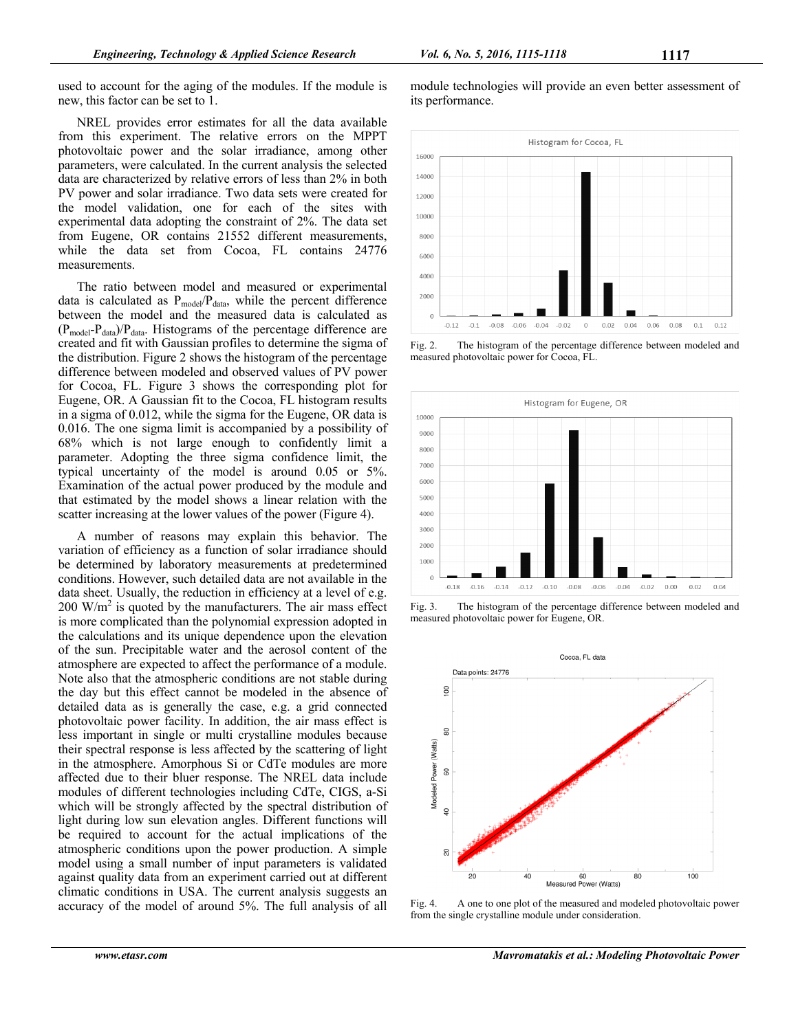used to account for the aging of the modules. If the module is new, this factor can be set to 1.

NREL provides error estimates for all the data available from this experiment. The relative errors on the MPPT photovoltaic power and the solar irradiance, among other parameters, were calculated. In the current analysis the selected data are characterized by relative errors of less than 2% in both PV power and solar irradiance. Two data sets were created for the model validation, one for each of the sites with experimental data adopting the constraint of 2%. The data set from Eugene, OR contains 21552 different measurements, while the data set from Cocoa, FL contains 24776 measurements.

The ratio between model and measured or experimental data is calculated as  $P_{model}/P_{data}$ , while the percent difference between the model and the measured data is calculated as  $(P_{model}-P_{data})/P_{data}$ . Histograms of the percentage difference are created and fit with Gaussian profiles to determine the sigma of the distribution. Figure 2 shows the histogram of the percentage difference between modeled and observed values of PV power for Cocoa, FL. Figure 3 shows the corresponding plot for Eugene, OR. A Gaussian fit to the Cocoa, FL histogram results in a sigma of 0.012, while the sigma for the Eugene, OR data is 0.016. The one sigma limit is accompanied by a possibility of 68% which is not large enough to confidently limit a parameter. Adopting the three sigma confidence limit, the typical uncertainty of the model is around 0.05 or 5%. Examination of the actual power produced by the module and that estimated by the model shows a linear relation with the scatter increasing at the lower values of the power (Figure 4).

A number of reasons may explain this behavior. The variation of efficiency as a function of solar irradiance should be determined by laboratory measurements at predetermined conditions. However, such detailed data are not available in the data sheet. Usually, the reduction in efficiency at a level of e.g. 200 W/m<sup>2</sup> is quoted by the manufacturers. The air mass effect is more complicated than the polynomial expression adopted in the calculations and its unique dependence upon the elevation of the sun. Precipitable water and the aerosol content of the atmosphere are expected to affect the performance of a module. Note also that the atmospheric conditions are not stable during the day but this effect cannot be modeled in the absence of detailed data as is generally the case, e.g. a grid connected photovoltaic power facility. In addition, the air mass effect is less important in single or multi crystalline modules because their spectral response is less affected by the scattering of light in the atmosphere. Amorphous Si or CdTe modules are more affected due to their bluer response. The NREL data include modules of different technologies including CdTe, CIGS, a-Si which will be strongly affected by the spectral distribution of light during low sun elevation angles. Different functions will be required to account for the actual implications of the atmospheric conditions upon the power production. A simple model using a small number of input parameters is validated against quality data from an experiment carried out at different climatic conditions in USA. The current analysis suggests an accuracy of the model of around 5%. The full analysis of all

module technologies will provide an even better assessment of its performance.



Fig. 2. The histogram of the percentage difference between modeled and measured photovoltaic power for Cocoa, FL.



Fig. 3. The histogram of the percentage difference between modeled and measured photovoltaic power for Eugene, OR.



Fig. 4. A one to one plot of the measured and modeled photovoltaic power from the single crystalline module under consideration.